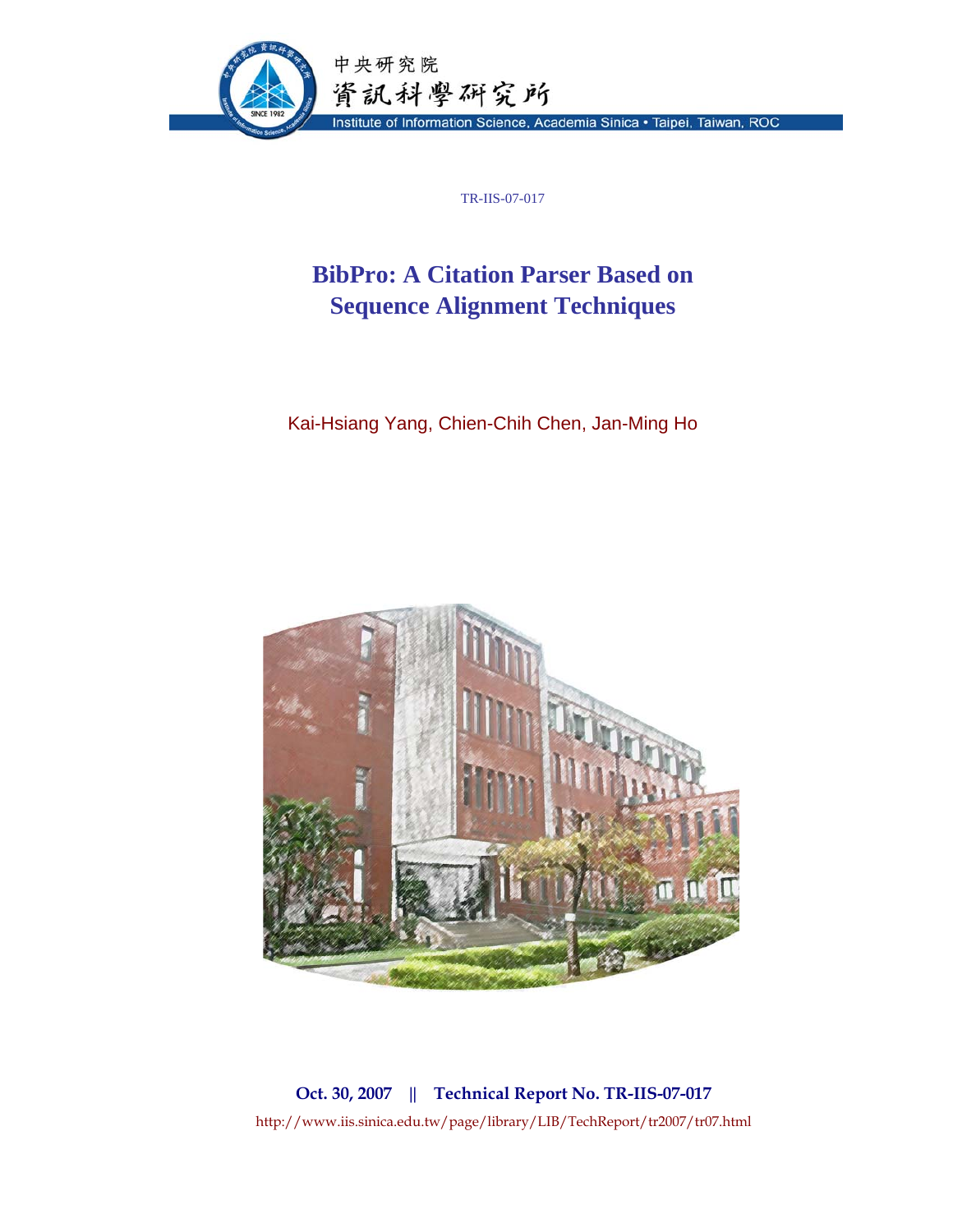

TR-IIS-07-017

# **BibPro: A Citation Parser Based on Sequence Alignment Techniques**

Kai-Hsiang Yang, Chien-Chih Chen, Jan-Ming Ho



**Oct. 30, 2007 || Technical Report No. TR-IIS-07-017**  http://www.iis.sinica.edu.tw/page/library/LIB/TechReport/tr2007/tr07.html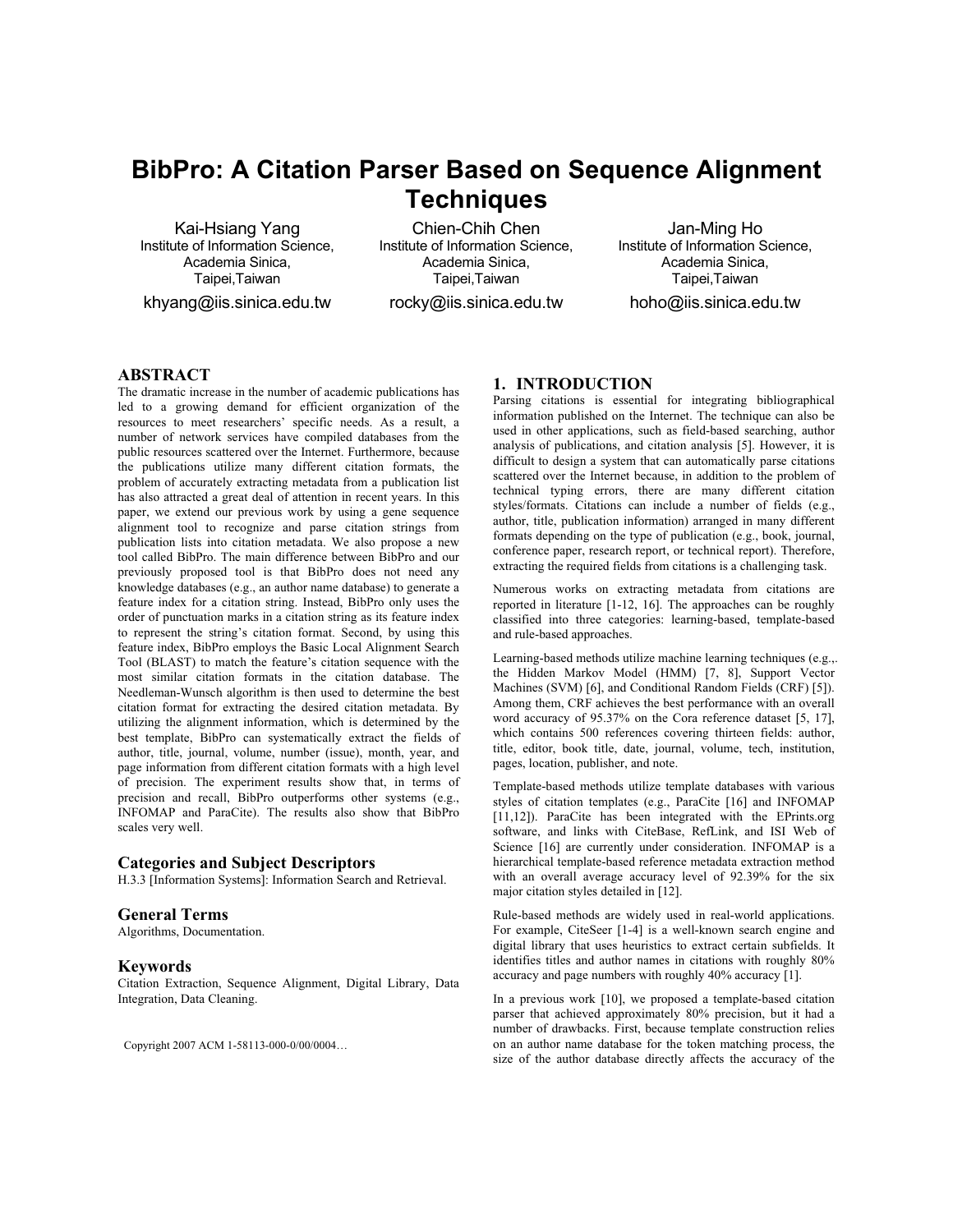# **BibPro: A Citation Parser Based on Sequence Alignment Techniques**

Kai-Hsiang Yang Institute of Information Science, Academia Sinica, Taipei,Taiwan

khyang@iis.sinica.edu.tw

Chien-Chih Chen Institute of Information Science, Academia Sinica, Taipei,Taiwan

rocky@iis.sinica.edu.tw

Jan-Ming Ho Institute of Information Science, Academia Sinica, Taipei,Taiwan

hoho@iis.sinica.edu.tw

# **ABSTRACT**

The dramatic increase in the number of academic publications has led to a growing demand for efficient organization of the resources to meet researchers' specific needs. As a result, a number of network services have compiled databases from the public resources scattered over the Internet. Furthermore, because the publications utilize many different citation formats, the problem of accurately extracting metadata from a publication list has also attracted a great deal of attention in recent years. In this paper, we extend our previous work by using a gene sequence alignment tool to recognize and parse citation strings from publication lists into citation metadata. We also propose a new tool called BibPro. The main difference between BibPro and our previously proposed tool is that BibPro does not need any knowledge databases (e.g., an author name database) to generate a feature index for a citation string. Instead, BibPro only uses the order of punctuation marks in a citation string as its feature index to represent the string's citation format. Second, by using this feature index, BibPro employs the Basic Local Alignment Search Tool (BLAST) to match the feature's citation sequence with the most similar citation formats in the citation database. The Needleman-Wunsch algorithm is then used to determine the best citation format for extracting the desired citation metadata. By utilizing the alignment information, which is determined by the best template, BibPro can systematically extract the fields of author, title, journal, volume, number (issue), month, year, and page information from different citation formats with a high level of precision. The experiment results show that, in terms of precision and recall, BibPro outperforms other systems (e.g., INFOMAP and ParaCite). The results also show that BibPro scales very well.

# **Categories and Subject Descriptors**

H.3.3 [Information Systems]: Information Search and Retrieval.

### **General Terms**

Algorithms, Documentation.

# **Keywords**

Citation Extraction, Sequence Alignment, Digital Library, Data Integration, Data Cleaning.

Copyright 2007 ACM 1-58113-000-0/00/0004…

# **1. INTRODUCTION**

Parsing citations is essential for integrating bibliographical information published on the Internet. The technique can also be used in other applications, such as field-based searching, author analysis of publications, and citation analysis [5]. However, it is difficult to design a system that can automatically parse citations scattered over the Internet because, in addition to the problem of technical typing errors, there are many different citation styles/formats. Citations can include a number of fields (e.g., author, title, publication information) arranged in many different formats depending on the type of publication (e.g., book, journal, conference paper, research report, or technical report). Therefore, extracting the required fields from citations is a challenging task.

Numerous works on extracting metadata from citations are reported in literature [1-12, 16]. The approaches can be roughly classified into three categories: learning-based, template-based and rule-based approaches.

Learning-based methods utilize machine learning techniques (e.g.,. the Hidden Markov Model (HMM) [7, 8], Support Vector Machines (SVM) [6], and Conditional Random Fields (CRF) [5]). Among them, CRF achieves the best performance with an overall word accuracy of 95.37% on the Cora reference dataset [5, 17], which contains 500 references covering thirteen fields: author, title, editor, book title, date, journal, volume, tech, institution, pages, location, publisher, and note.

Template-based methods utilize template databases with various styles of citation templates (e.g., ParaCite [16] and INFOMAP [11,12]). ParaCite has been integrated with the EPrints.org software, and links with CiteBase, RefLink, and ISI Web of Science [16] are currently under consideration. INFOMAP is a hierarchical template-based reference metadata extraction method with an overall average accuracy level of 92.39% for the six major citation styles detailed in [12].

Rule-based methods are widely used in real-world applications. For example, CiteSeer [1-4] is a well-known search engine and digital library that uses heuristics to extract certain subfields. It identifies titles and author names in citations with roughly 80% accuracy and page numbers with roughly 40% accuracy [1].

In a previous work [10], we proposed a template-based citation parser that achieved approximately 80% precision, but it had a number of drawbacks. First, because template construction relies on an author name database for the token matching process, the size of the author database directly affects the accuracy of the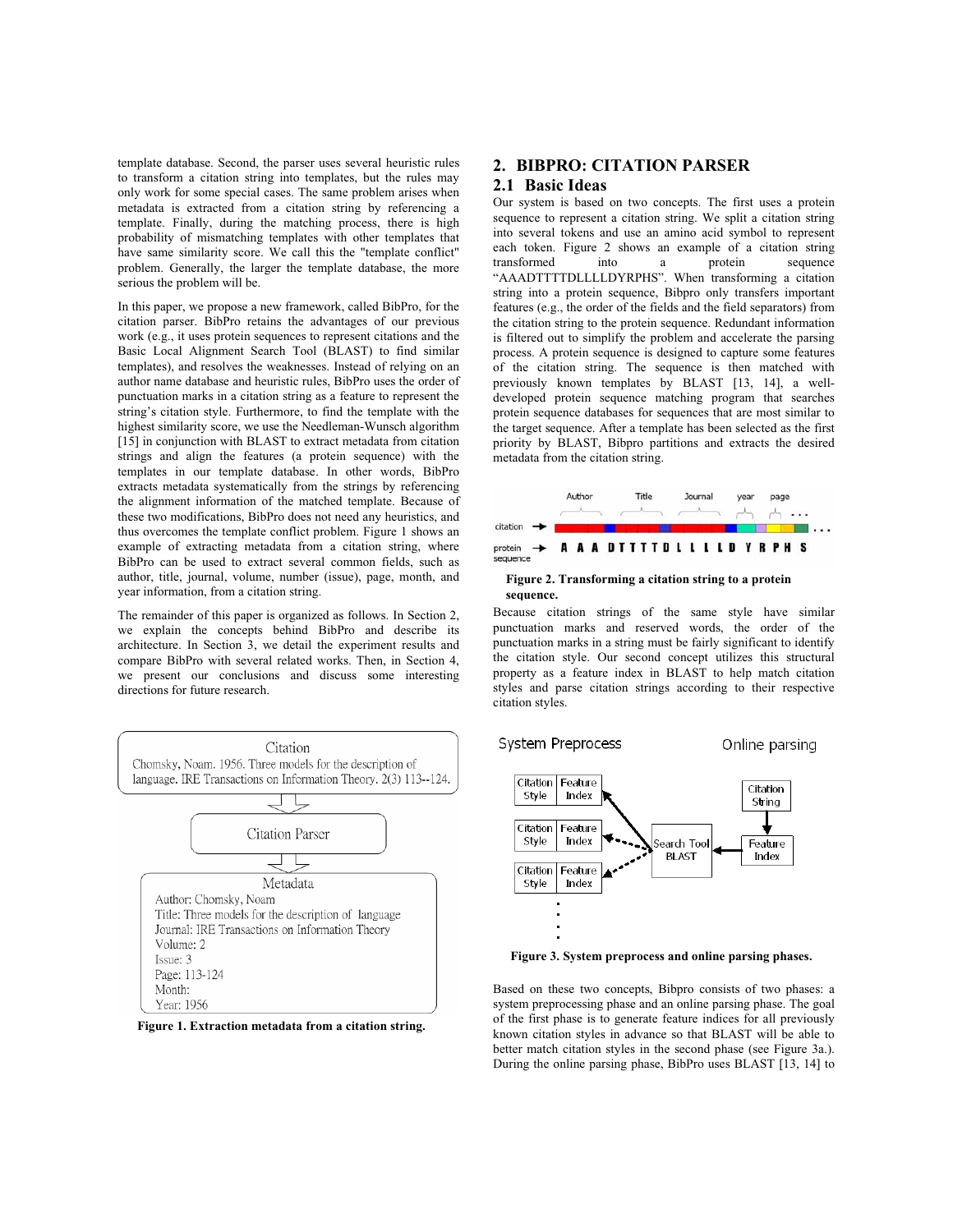template database. Second, the parser uses several heuristic rules to transform a citation string into templates, but the rules may only work for some special cases. The same problem arises when metadata is extracted from a citation string by referencing a template. Finally, during the matching process, there is high probability of mismatching templates with other templates that have same similarity score. We call this the "template conflict" problem. Generally, the larger the template database, the more serious the problem will be.

In this paper, we propose a new framework, called BibPro, for the citation parser. BibPro retains the advantages of our previous work (e.g., it uses protein sequences to represent citations and the Basic Local Alignment Search Tool (BLAST) to find similar templates), and resolves the weaknesses. Instead of relying on an author name database and heuristic rules, BibPro uses the order of punctuation marks in a citation string as a feature to represent the string's citation style. Furthermore, to find the template with the highest similarity score, we use the Needleman-Wunsch algorithm [15] in conjunction with BLAST to extract metadata from citation strings and align the features (a protein sequence) with the templates in our template database. In other words, BibPro extracts metadata systematically from the strings by referencing the alignment information of the matched template. Because of these two modifications, BibPro does not need any heuristics, and thus overcomes the template conflict problem. Figure 1 shows an example of extracting metadata from a citation string, where BibPro can be used to extract several common fields, such as author, title, journal, volume, number (issue), page, month, and year information, from a citation string.

The remainder of this paper is organized as follows. In Section 2, we explain the concepts behind BibPro and describe its architecture. In Section 3, we detail the experiment results and compare BibPro with several related works. Then, in Section 4, we present our conclusions and discuss some interesting directions for future research.





# **2. BIBPRO: CITATION PARSER**

# **2.1 Basic Ideas**

Our system is based on two concepts. The first uses a protein sequence to represent a citation string. We split a citation string into several tokens and use an amino acid symbol to represent each token. Figure 2 shows an example of a citation string transformed into a protein sequence "AAADTTTTDLLLLDYRPHS". When transforming a citation string into a protein sequence, Bibpro only transfers important features (e.g., the order of the fields and the field separators) from the citation string to the protein sequence. Redundant information is filtered out to simplify the problem and accelerate the parsing process. A protein sequence is designed to capture some features of the citation string. The sequence is then matched with previously known templates by BLAST [13, 14], a welldeveloped protein sequence matching program that searches protein sequence databases for sequences that are most similar to the target sequence. After a template has been selected as the first priority by BLAST, Bibpro partitions and extracts the desired metadata from the citation string.



#### **Figure 2. Transforming a citation string to a protein sequence.**

Because citation strings of the same style have similar punctuation marks and reserved words, the order of the punctuation marks in a string must be fairly significant to identify the citation style. Our second concept utilizes this structural property as a feature index in BLAST to help match citation styles and parse citation strings according to their respective citation styles.

System Preprocess

Online parsing



**Figure 3. System preprocess and online parsing phases.** 

Based on these two concepts, Bibpro consists of two phases: a system preprocessing phase and an online parsing phase. The goal of the first phase is to generate feature indices for all previously known citation styles in advance so that BLAST will be able to better match citation styles in the second phase (see Figure 3a.). During the online parsing phase, BibPro uses BLAST [13, 14] to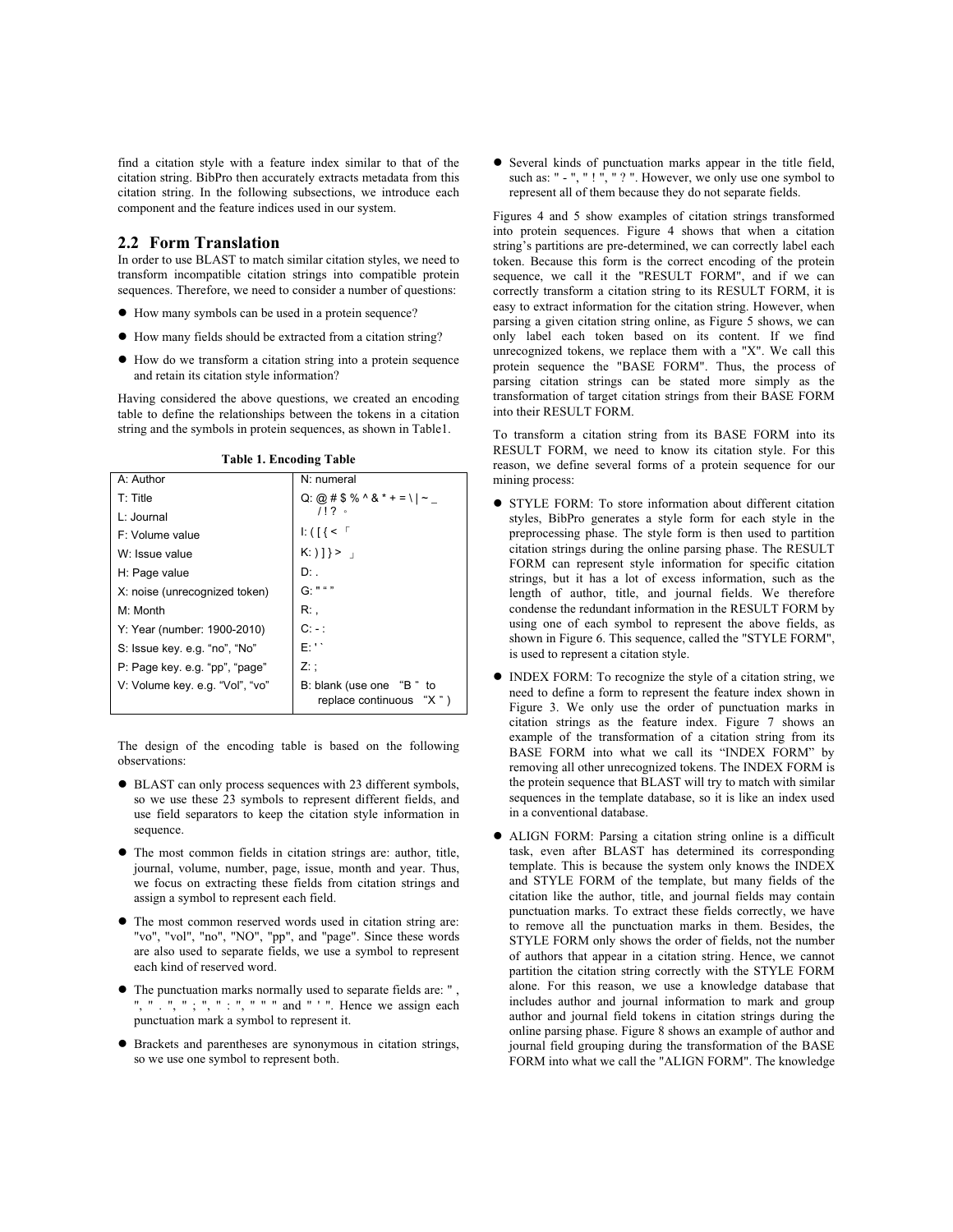find a citation style with a feature index similar to that of the citation string. BibPro then accurately extracts metadata from this citation string. In the following subsections, we introduce each component and the feature indices used in our system.

## **2.2 Form Translation**

In order to use BLAST to match similar citation styles, we need to transform incompatible citation strings into compatible protein sequences. Therefore, we need to consider a number of questions:

- $\bullet$  How many symbols can be used in a protein sequence?
- $\bullet$  How many fields should be extracted from a citation string?
- $\bullet$  How do we transform a citation string into a protein sequence and retain its citation style information?

Having considered the above questions, we created an encoding table to define the relationships between the tokens in a citation string and the symbols in protein sequences, as shown in Table1.

**Table 1. Encoding Table** 

| rasic il Encount rasic          |                                                                        |
|---------------------------------|------------------------------------------------------------------------|
| A: Author                       | N: numeral                                                             |
| $T$ : Title                     | Q: @ # \$ % ^ & * + = \  ~ _                                           |
| L: Journal                      | 1!2                                                                    |
| $F:$ Volume value               | $\left  \cdot \right $ ( $\left  \cdot \right $ $\left  \cdot \right $ |
| W: Issue value                  | $K:$ ) $\}$ > $\bot$                                                   |
| H: Page value                   | D: .                                                                   |
| X: noise (unrecognized token)   | G: " " "                                                               |
| M: Month                        | R: .                                                                   |
| Y: Year (number: 1900-2010)     | $C: -$ :                                                               |
| S: Issue key. e.g. "no", "No"   | Fili                                                                   |
| P: Page key. e.g. "pp", "page"  | Z: :                                                                   |
| V: Volume key. e.g. "Vol", "vo" | B: blank (use one "B" to<br>replace continuous<br>"X " )               |

The design of the encoding table is based on the following observations:

- BLAST can only process sequences with 23 different symbols, so we use these 23 symbols to represent different fields, and use field separators to keep the citation style information in sequence.
- $\bullet$  The most common fields in citation strings are: author, title, journal, volume, number, page, issue, month and year. Thus, we focus on extracting these fields from citation strings and assign a symbol to represent each field.
- $\bullet$  The most common reserved words used in citation string are: "vo", "vol", "no", "NO", "pp", and "page". Since these words are also used to separate fields, we use a symbol to represent each kind of reserved word.
- $\bullet$  The punctuation marks normally used to separate fields are: ", ", "  $\cdot$  ", ", ", " : ", " " " and " ' ". Hence we assign each punctuation mark a symbol to represent it.
- $\bullet$  Brackets and parentheses are synonymous in citation strings, so we use one symbol to represent both.

• Several kinds of punctuation marks appear in the title field, such as: " - ", " ! ", " ? ". However, we only use one symbol to represent all of them because they do not separate fields.

Figures 4 and 5 show examples of citation strings transformed into protein sequences. Figure 4 shows that when a citation string's partitions are pre-determined, we can correctly label each token. Because this form is the correct encoding of the protein sequence, we call it the "RESULT FORM", and if we can correctly transform a citation string to its RESULT FORM, it is easy to extract information for the citation string. However, when parsing a given citation string online, as Figure 5 shows, we can only label each token based on its content. If we find unrecognized tokens, we replace them with a "X". We call this protein sequence the "BASE FORM". Thus, the process of parsing citation strings can be stated more simply as the transformation of target citation strings from their BASE FORM into their RESULT FORM.

To transform a citation string from its BASE FORM into its RESULT FORM, we need to know its citation style. For this reason, we define several forms of a protein sequence for our mining process:

- STYLE FORM: To store information about different citation styles, BibPro generates a style form for each style in the preprocessing phase. The style form is then used to partition citation strings during the online parsing phase. The RESULT FORM can represent style information for specific citation strings, but it has a lot of excess information, such as the length of author, title, and journal fields. We therefore condense the redundant information in the RESULT FORM by using one of each symbol to represent the above fields, as shown in Figure 6. This sequence, called the "STYLE FORM", is used to represent a citation style.
- INDEX FORM: To recognize the style of a citation string, we need to define a form to represent the feature index shown in Figure 3. We only use the order of punctuation marks in citation strings as the feature index. Figure 7 shows an example of the transformation of a citation string from its BASE FORM into what we call its "INDEX FORM" by removing all other unrecognized tokens. The INDEX FORM is the protein sequence that BLAST will try to match with similar sequences in the template database, so it is like an index used in a conventional database.
- z ALIGN FORM: Parsing a citation string online is a difficult task, even after BLAST has determined its corresponding template. This is because the system only knows the INDEX and STYLE FORM of the template, but many fields of the citation like the author, title, and journal fields may contain punctuation marks. To extract these fields correctly, we have to remove all the punctuation marks in them. Besides, the STYLE FORM only shows the order of fields, not the number of authors that appear in a citation string. Hence, we cannot partition the citation string correctly with the STYLE FORM alone. For this reason, we use a knowledge database that includes author and journal information to mark and group author and journal field tokens in citation strings during the online parsing phase. Figure 8 shows an example of author and journal field grouping during the transformation of the BASE FORM into what we call the "ALIGN FORM". The knowledge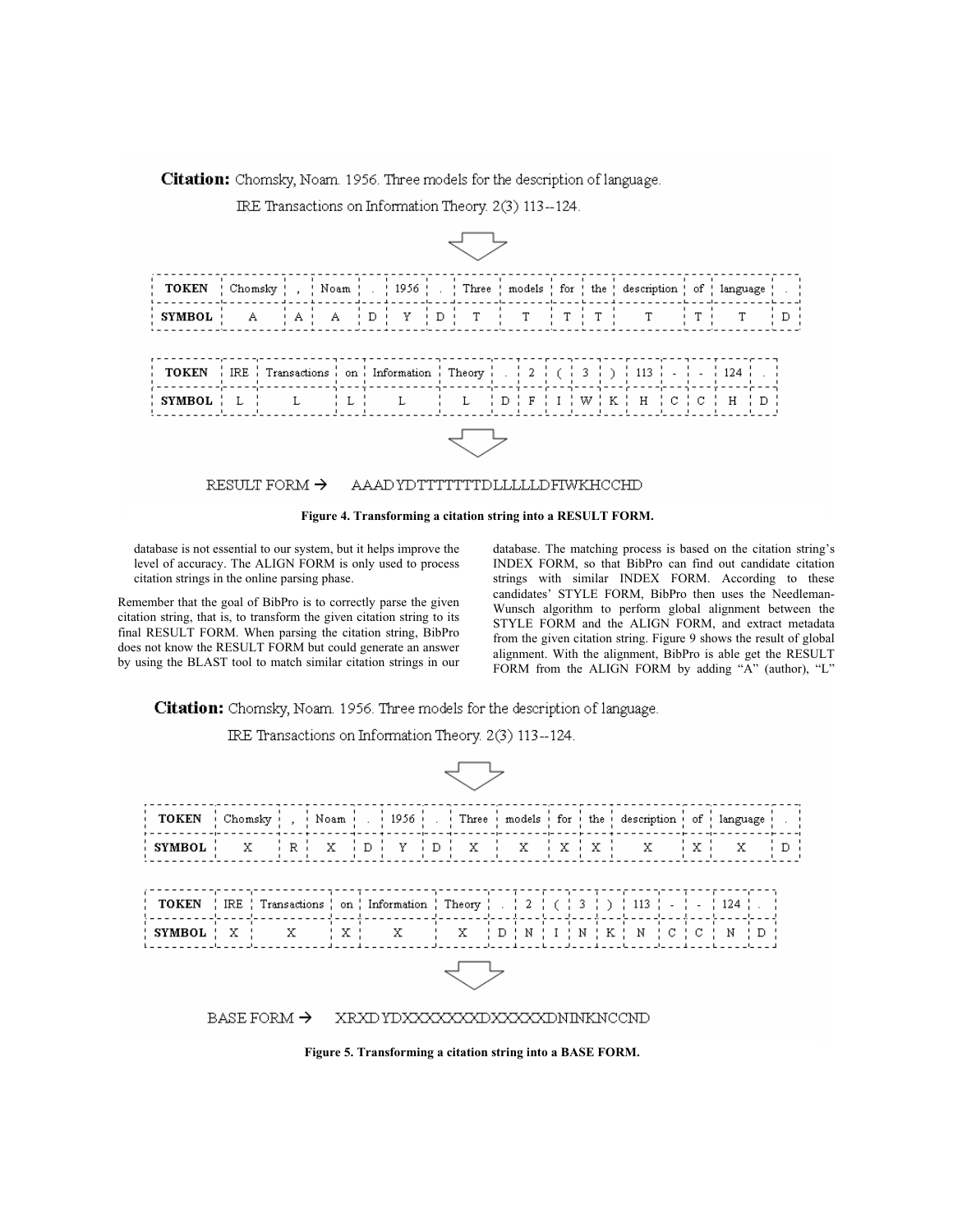Citation: Chomsky, Noam. 1956. Three models for the description of language.

IRE Transactions on Information Theory. 2(3) 113--124.

| TOKEN   Chomsky   ,   Noam   .   1956   .   Three   models   for   the   description   of   language   .                                                                                                                                                                                                                         |  |  |  |  |  |  |  |  |  |  |  |  |  |  |  |  |
|----------------------------------------------------------------------------------------------------------------------------------------------------------------------------------------------------------------------------------------------------------------------------------------------------------------------------------|--|--|--|--|--|--|--|--|--|--|--|--|--|--|--|--|
| $\{$ SYMBOL $\}$ A $\{$ A $\{$ D $\}$ Y $\{$ D $\}$ T $\{$ T $\{$ T $\{$ T $\}$ T $\{$ T $\{$ T $\}$ T $\{$ D $\}$                                                                                                                                                                                                               |  |  |  |  |  |  |  |  |  |  |  |  |  |  |  |  |
|                                                                                                                                                                                                                                                                                                                                  |  |  |  |  |  |  |  |  |  |  |  |  |  |  |  |  |
| $\mathbf{SVMBOL}$ $\mathbf{L}$ $\mathbf{L}$ $\mathbf{L}$ $\mathbf{L}$ $\mathbf{L}$ $\mathbf{L}$ $\mathbf{L}$ $\mathbf{L}$ $\mathbf{L}$ $\mathbf{L}$ $\mathbf{L}$ $\mathbf{L}$ $\mathbf{L}$ $\mathbf{L}$ $\mathbf{L}$ $\mathbf{L}$ $\mathbf{L}$ $\mathbf{L}$ $\mathbf{L}$ $\mathbf{L}$ $\mathbf{L}$ $\mathbf{L}$ $\mathbf{L}$ $\$ |  |  |  |  |  |  |  |  |  |  |  |  |  |  |  |  |
|                                                                                                                                                                                                                                                                                                                                  |  |  |  |  |  |  |  |  |  |  |  |  |  |  |  |  |

#### RESULT FORM  $\rightarrow$ AAAD YDTTTTTTTDLLLLLDFIWKHCCHD



database is not essential to our system, but it helps improve the level of accuracy. The ALIGN FORM is only used to process citation strings in the online parsing phase.

Remember that the goal of BibPro is to correctly parse the given citation string, that is, to transform the given citation string to its final RESULT FORM. When parsing the citation string, BibPro does not know the RESULT FORM but could generate an answer by using the BLAST tool to match similar citation strings in our database. The matching process is based on the citation string's INDEX FORM, so that BibPro can find out candidate citation strings with similar INDEX FORM. According to these candidates' STYLE FORM, BibPro then uses the Needleman-Wunsch algorithm to perform global alignment between the STYLE FORM and the ALIGN FORM, and extract metadata from the given citation string. Figure 9 shows the result of global alignment. With the alignment, BibPro is able get the RESULT FORM from the ALIGN FORM by adding "A" (author), "L"

Citation: Chomsky, Noam. 1956. Three models for the description of language.

IRE Transactions on Information Theory. 2(3) 113--124. **TOKEN** Chomsky Noam 1956 Three models  $\operatorname{\mathsf{for}}$ the  $_{\mathrm{of}}$ language description **SYMBOL**  $\mathbb R$  $\bar{X}$  $\mathbf{D}$ Y  $\bar{D}$  $\mathbf x$  $\mathbf x$  $\mathbf x$  $\mathbb D$ X X X X X **TOKEN**  $\rm IRE$ Transactions on ! Information Theory  $\sqrt{2}$ 3 113 124 ſ. h  $\mathtt{C}$ **SYMBOL**  $\mathbf x$  $\bar{\mathbf{x}}$  $\rm X$  $\bar{\mathbf{x}}$ X  $\mathbb D$  $\, {\rm N}$  $\rm I$  $\, {\rm N}$  $\rm K$ N  $\mathtt{C}$ N  $\bar{D}$ BASE FORM  $\rightarrow$ XRXD YDXXXXXXXDXXXXXDNINKNCCND

**Figure 5. Transforming a citation string into a BASE FORM.**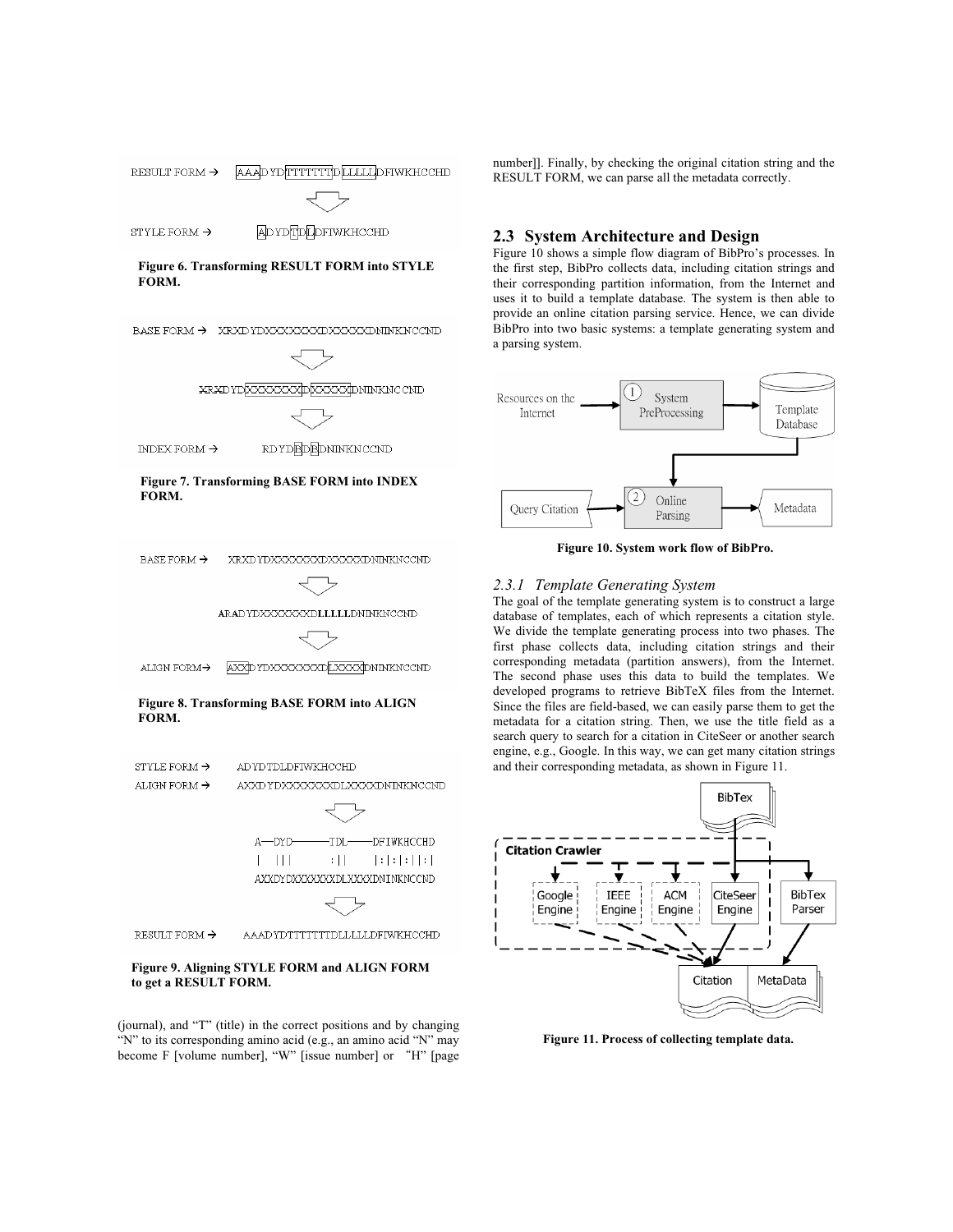

RESULT FORM  $\rightarrow$ 

AAAD YDTTTTTTTDLLLLLDFIWKHCCHD

### **Figure 9. Aligning STYLE FORM and ALIGN FORM to get a RESULT FORM.**

(journal), and "T" (title) in the correct positions and by changing "N" to its corresponding amino acid (e.g., an amino acid "N" may become F [volume number], "W" [issue number] or "H" [page number]]. Finally, by checking the original citation string and the RESULT FORM, we can parse all the metadata correctly.

# **2.3 System Architecture and Design**

Figure 10 shows a simple flow diagram of BibPro's processes. In the first step, BibPro collects data, including citation strings and their corresponding partition information, from the Internet and uses it to build a template database. The system is then able to provide an online citation parsing service. Hence, we can divide BibPro into two basic systems: a template generating system and a parsing system.



**Figure 10. System work flow of BibPro.** 

# *2.3.1 Template Generating System*

The goal of the template generating system is to construct a large database of templates, each of which represents a citation style. We divide the template generating process into two phases. The first phase collects data, including citation strings and their corresponding metadata (partition answers), from the Internet. The second phase uses this data to build the templates. We developed programs to retrieve BibTeX files from the Internet. Since the files are field-based, we can easily parse them to get the metadata for a citation string. Then, we use the title field as a search query to search for a citation in CiteSeer or another search engine, e.g., Google. In this way, we can get many citation strings and their corresponding metadata, as shown in Figure 11.



**Figure 11. Process of collecting template data.**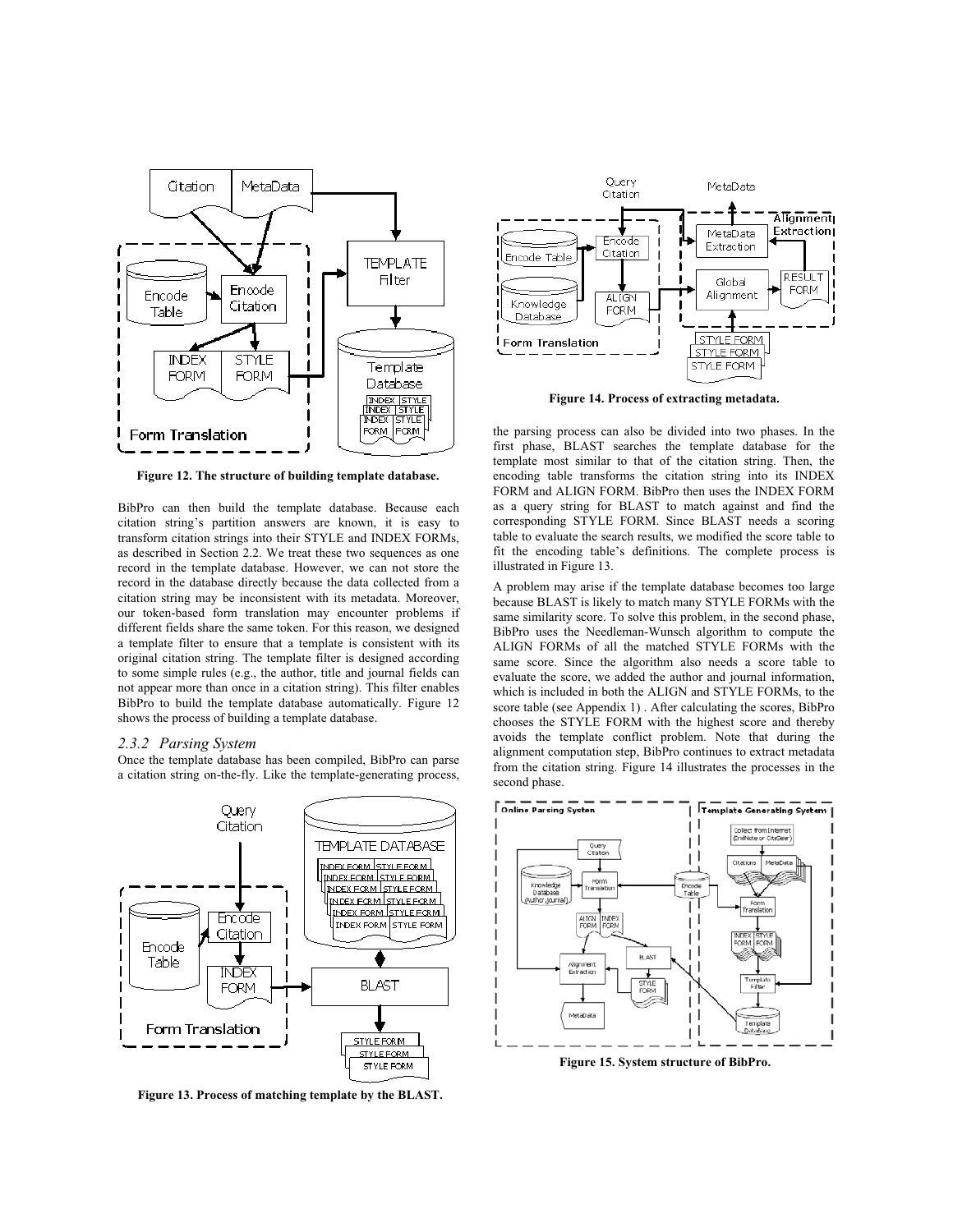

**Figure 12. The structure of building template database.**

BibPro can then build the template database. Because each citation string's partition answers are known, it is easy to transform citation strings into their STYLE and INDEX FORMs, as described in Section 2.2. We treat these two sequences as one record in the template database. However, we can not store the record in the database directly because the data collected from a citation string may be inconsistent with its metadata. Moreover, our token-based form translation may encounter problems if different fields share the same token. For this reason, we designed a template filter to ensure that a template is consistent with its original citation string. The template filter is designed according to some simple rules (e.g., the author, title and journal fields can not appear more than once in a citation string). This filter enables BibPro to build the template database automatically. Figure 12 shows the process of building a template database.

#### *2.3.2 Parsing System*

Once the template database has been compiled, BibPro can parse a citation string on-the-fly. Like the template-generating process,



**Figure 13. Process of matching template by the BLAST.**



**Figure 14. Process of extracting metadata.** 

the parsing process can also be divided into two phases. In the first phase, BLAST searches the template database for the template most similar to that of the citation string. Then, the encoding table transforms the citation string into its INDEX FORM and ALIGN FORM. BibPro then uses the INDEX FORM as a query string for BLAST to match against and find the corresponding STYLE FORM. Since BLAST needs a scoring table to evaluate the search results, we modified the score table to fit the encoding table's definitions. The complete process is illustrated in Figure 13.

A problem may arise if the template database becomes too large because BLAST is likely to match many STYLE FORMs with the same similarity score. To solve this problem, in the second phase, BibPro uses the Needleman-Wunsch algorithm to compute the ALIGN FORMs of all the matched STYLE FORMs with the same score. Since the algorithm also needs a score table to evaluate the score, we added the author and journal information, which is included in both the ALIGN and STYLE FORMs, to the score table (see Appendix 1) . After calculating the scores, BibPro chooses the STYLE FORM with the highest score and thereby avoids the template conflict problem. Note that during the alignment computation step, BibPro continues to extract metadata from the citation string. Figure 14 illustrates the processes in the second phase.



**Figure 15. System structure of BibPro.**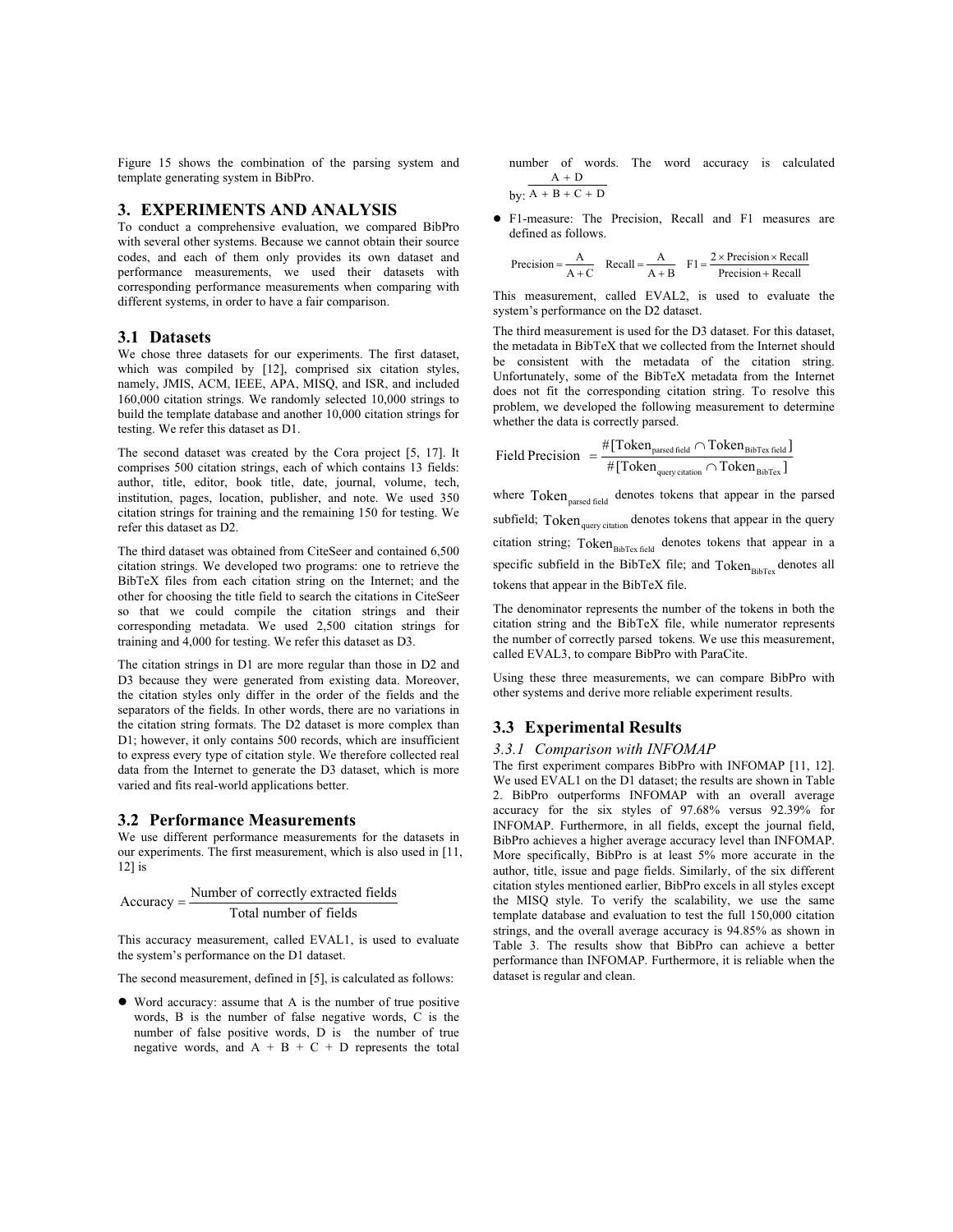Figure 15 shows the combination of the parsing system and template generating system in BibPro.

#### **3. EXPERIMENTS AND ANALYSIS**

To conduct a comprehensive evaluation, we compared BibPro with several other systems. Because we cannot obtain their source codes, and each of them only provides its own dataset and performance measurements, we used their datasets with corresponding performance measurements when comparing with different systems, in order to have a fair comparison.

#### **3.1 Datasets**

We chose three datasets for our experiments. The first dataset, which was compiled by [12], comprised six citation styles, namely, JMIS, ACM, IEEE, APA, MISQ, and ISR, and included 160,000 citation strings. We randomly selected 10,000 strings to build the template database and another 10,000 citation strings for testing. We refer this dataset as D1.

The second dataset was created by the Cora project [5, 17]. It comprises 500 citation strings, each of which contains 13 fields: author, title, editor, book title, date, journal, volume, tech, institution, pages, location, publisher, and note. We used 350 citation strings for training and the remaining 150 for testing. We refer this dataset as D2.

The third dataset was obtained from CiteSeer and contained 6,500 citation strings. We developed two programs: one to retrieve the BibTeX files from each citation string on the Internet; and the other for choosing the title field to search the citations in CiteSeer so that we could compile the citation strings and their corresponding metadata. We used 2,500 citation strings for training and 4,000 for testing. We refer this dataset as D3.

The citation strings in D1 are more regular than those in D2 and D3 because they were generated from existing data. Moreover, the citation styles only differ in the order of the fields and the separators of the fields. In other words, there are no variations in the citation string formats. The D2 dataset is more complex than D1; however, it only contains 500 records, which are insufficient to express every type of citation style. We therefore collected real data from the Internet to generate the D3 dataset, which is more varied and fits real-world applications better.

#### **3.2 Performance Measurements**

We use different performance measurements for the datasets in our experiments. The first measurement, which is also used in [11,  $12$ ] is

$$
Accuracy = \frac{Number of correctly extracted fields}{Total number of fields}
$$

This accuracy measurement, called EVAL1, is used to evaluate the system's performance on the D1 dataset.

The second measurement, defined in [5], is calculated as follows:

 $\bullet$  Word accuracy: assume that A is the number of true positive words, B is the number of false negative words, C is the number of false positive words, D is the number of true negative words, and  $A + B + C + D$  represents the total number of words. The word accuracy is calculated  $A + D$ 

$$
by: A + B + C + D
$$

• F1-measure: The Precision, Recall and F1 measures are defined as follows.

$$
Precision = \frac{A}{A+C} \quad Recall = \frac{A}{A+B} \quad F1 = \frac{2 \times Precision \times Recall}{Precision + Recall}
$$

This measurement, called EVAL2, is used to evaluate the system's performance on the D2 dataset.

The third measurement is used for the D3 dataset. For this dataset, the metadata in BibTeX that we collected from the Internet should be consistent with the metadata of the citation string. Unfortunately, some of the BibTeX metadata from the Internet does not fit the corresponding citation string. To resolve this problem, we developed the following measurement to determine whether the data is correctly parsed.

$$
\text{Field Precision } = \frac{\#[\text{Token}_{\text{parsed field}} \cap \text{Token}_{\text{BibText field}}]}{\#[\text{Token}_{\text{query citation}} \cap \text{Token}_{\text{BibText}}]}
$$

where Token<sub>parsed field</sub> denotes tokens that appear in the parsed subfield; Token<sub>query citation</sub> denotes tokens that appear in the query citation string; Token<sub>BibTex field</sub> denotes tokens that appear in a specific subfield in the BibTeX file; and  $Token<sub>BibTex</sub>$  denotes all tokens that appear in the BibTeX file.

The denominator represents the number of the tokens in both the citation string and the BibTeX file, while numerator represents the number of correctly parsed tokens. We use this measurement, called EVAL3, to compare BibPro with ParaCite.

Using these three measurements, we can compare BibPro with other systems and derive more reliable experiment results.

### **3.3 Experimental Results**

#### *3.3.1 Comparison with INFOMAP*

The first experiment compares BibPro with INFOMAP [11, 12]. We used EVAL1 on the D1 dataset; the results are shown in Table 2. BibPro outperforms INFOMAP with an overall average accuracy for the six styles of 97.68% versus 92.39% for INFOMAP. Furthermore, in all fields, except the journal field, BibPro achieves a higher average accuracy level than INFOMAP. More specifically, BibPro is at least 5% more accurate in the author, title, issue and page fields. Similarly, of the six different citation styles mentioned earlier, BibPro excels in all styles except the MISQ style. To verify the scalability, we use the same template database and evaluation to test the full 150,000 citation strings, and the overall average accuracy is 94.85% as shown in Table 3. The results show that BibPro can achieve a better performance than INFOMAP. Furthermore, it is reliable when the dataset is regular and clean.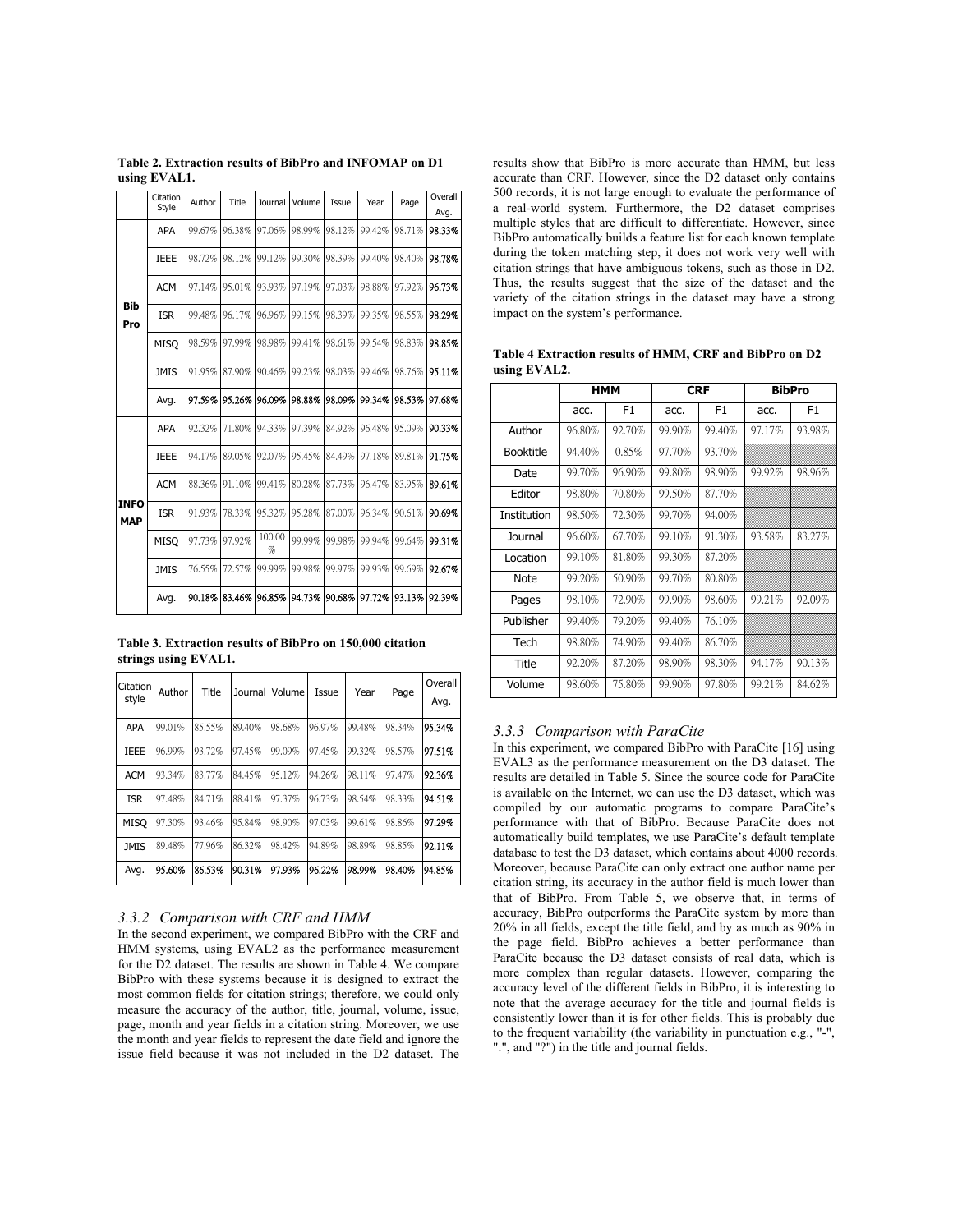|                   | Citation<br>Style | Author | Title  | Journal        | Volume | Issue  | Year   | Page                                                     | Overall |
|-------------------|-------------------|--------|--------|----------------|--------|--------|--------|----------------------------------------------------------|---------|
|                   |                   |        |        |                |        |        |        | 98.71%<br>98.40%<br>97.92%<br>98.55%<br>98.83%<br>98.76% | Avg.    |
|                   | <b>APA</b>        | 99.67% | 96.38% | 97.06%         | 98.99% | 98.12% | 99.42% |                                                          | 98.33%  |
|                   | <b>IEEE</b>       | 98.72% | 98.12% | 99.12%         | 99.30% | 98.39% | 99.40% |                                                          | 98.78%  |
|                   | <b>ACM</b>        | 97.14% | 95.01% | 93.93%         | 97.19% | 97.03% | 98.88% |                                                          | 96.73%  |
| <b>Bib</b><br>Pro | <b>ISR</b>        | 99.48% | 96.17% | 96.96%         | 99.15% | 98.39% | 99.35% |                                                          | 98.29%  |
|                   | <b>MISO</b>       | 98.59% | 97.99% | 98.98%         | 99.41% | 98.61% | 99.54% |                                                          | 98.85%  |
|                   | <b>JMIS</b>       | 91.95% | 87.90% | 90.46%         | 99.23% | 98.03% | 99.46% |                                                          | 95.11%  |
|                   | Avg.              | 97.59% | 95.26% | 96.09%         | 98.88% | 98.09% | 99.34% | 98.53%                                                   | 97.68%  |
|                   | <b>APA</b>        | 92.32% | 71.80% | 94.33%         | 97.39% | 84.92% | 96.48% | 95.09%                                                   | 90.33%  |
|                   | <b>IEEE</b>       | 94.17% | 89.05% | 92.07%         | 95.45% | 84.49% | 97.18% | 89.81%                                                   | 91.75%  |
| <b>INFO</b>       | <b>ACM</b>        | 88.36% | 91.10% | 99.41%         | 80.28% | 87.73% | 96.47% | 83.95%                                                   | 89.61%  |
| <b>MAP</b>        | <b>ISR</b>        | 91.93% | 78.33% | 95.32%         | 95.28% | 87.00% | 96.34% | 90.61%                                                   | 90.69%  |
|                   | <b>MISO</b>       | 97.73% | 97.92% | 100.00<br>$\%$ | 99.99% | 99.98% | 99.94% | 99.64%                                                   | 99.31%  |
|                   | <b>JMIS</b>       | 76.55% | 72.57% | 99.99%         | 99.98% | 99.97% | 99.93% | 99.69%                                                   | 92.67%  |
|                   | Avg.              | 90.18% | 83.46% | 96.85%         | 94.73% | 90.68% | 97.72% | 93.13%                                                   | 92.39%  |

**Table 2. Extraction results of BibPro and INFOMAP on D1 using EVAL1.** 

**Table 3. Extraction results of BibPro on 150,000 citation strings using EVAL1.** 

| Citation<br>style | Author | <b>Title</b> | Journal | Volume | Issue  | Year   | Page   | Overall<br>Avg. |
|-------------------|--------|--------------|---------|--------|--------|--------|--------|-----------------|
| <b>APA</b>        | 99.01% | 85.55%       | 89.40%  | 98.68% | 96.97% | 99.48% | 98.34% | 95.34%          |
| <b>IEEE</b>       | 96.99% | 93.72%       | 97.45%  | 99.09% | 97.45% | 99.32% | 98.57% | 97.51%          |
| <b>ACM</b>        | 93.34% | 83.77%       | 84.45%  | 95.12% | 94.26% | 98.11% | 97.47% | 92.36%          |
| <b>ISR</b>        | 97.48% | 84.71%       | 88.41%  | 97.37% | 96.73% | 98.54% | 98.33% | 94.51%          |
| <b>MISO</b>       | 97.30% | 93.46%       | 95.84%  | 98.90% | 97.03% | 99.61% | 98.86% | 97.29%          |
| <b>JMIS</b>       | 89.48% | 77.96%       | 86.32%  | 98.42% | 94.89% | 98.89% | 98.85% | 92.11%          |
| Avg.              | 95.60% | 86.53%       | 90.31%  | 97.93% | 96.22% | 98.99% | 98.40% | 94.85%          |

#### *3.3.2 Comparison with CRF and HMM*

In the second experiment, we compared BibPro with the CRF and HMM systems, using EVAL2 as the performance measurement for the D2 dataset. The results are shown in Table 4. We compare BibPro with these systems because it is designed to extract the most common fields for citation strings; therefore, we could only measure the accuracy of the author, title, journal, volume, issue, page, month and year fields in a citation string. Moreover, we use the month and year fields to represent the date field and ignore the issue field because it was not included in the D2 dataset. The results show that BibPro is more accurate than HMM, but less accurate than CRF. However, since the D2 dataset only contains 500 records, it is not large enough to evaluate the performance of a real-world system. Furthermore, the D2 dataset comprises multiple styles that are difficult to differentiate. However, since BibPro automatically builds a feature list for each known template during the token matching step, it does not work very well with citation strings that have ambiguous tokens, such as those in D2. Thus, the results suggest that the size of the dataset and the variety of the citation strings in the dataset may have a strong impact on the system's performance.

| Table 4 Extraction results of HMM, CRF and BibPro on D2 |  |  |  |
|---------------------------------------------------------|--|--|--|
| using EVAL2.                                            |  |  |  |

|                  |        | НММ            |        | <b>CRF</b>     | <b>BibPro</b> |                |  |  |
|------------------|--------|----------------|--------|----------------|---------------|----------------|--|--|
|                  | acc.   | F <sub>1</sub> | acc.   | F <sub>1</sub> | acc.          | F <sub>1</sub> |  |  |
| Author           | 96.80% | 92.70%         | 99.90% | 99.40%         | 97.17%        | 93.98%         |  |  |
| <b>Booktitle</b> | 94.40% | 0.85%          | 97.70% | 93.70%         |               |                |  |  |
| Date             | 99.70% | 96.90%         | 99.80% | 98.90%         | 99.92%        | 98.96%         |  |  |
| Editor           | 98.80% | 70.80%         | 99.50% | 87.70%         |               |                |  |  |
| Institution      | 98.50% | 72.30%         | 99.70% | 94.00%         |               |                |  |  |
| Journal          | 96.60% | 67.70%         | 99.10% | 91.30%         | 93.58%        | 83.27%         |  |  |
| Location         | 99.10% | 81.80%         | 99.30% | 87.20%         |               |                |  |  |
| <b>Note</b>      | 99.20% | 50.90%         | 99.70% | 80.80%         |               |                |  |  |
| Pages            | 98.10% | 72.90%         | 99.90% | 98.60%         | 99.21%        | 92.09%         |  |  |
| Publisher        | 99.40% | 79.20%         | 99.40% | 76.10%         |               |                |  |  |
| Tech             | 98.80% | 74.90%         | 99.40% | 86.70%         |               |                |  |  |
| Title            | 92.20% | 87.20%         | 98.90% | 98.30%         | 94.17%        | 90.13%         |  |  |
| Volume           | 98.60% | 75.80%         | 99.90% | 97.80%         | 99.21%        | 84.62%         |  |  |

# *3.3.3 Comparison with ParaCite*

In this experiment, we compared BibPro with ParaCite [16] using EVAL3 as the performance measurement on the D3 dataset. The results are detailed in Table 5. Since the source code for ParaCite is available on the Internet, we can use the D3 dataset, which was compiled by our automatic programs to compare ParaCite's performance with that of BibPro. Because ParaCite does not automatically build templates, we use ParaCite's default template database to test the D3 dataset, which contains about 4000 records. Moreover, because ParaCite can only extract one author name per citation string, its accuracy in the author field is much lower than that of BibPro. From Table 5, we observe that, in terms of accuracy, BibPro outperforms the ParaCite system by more than 20% in all fields, except the title field, and by as much as 90% in the page field. BibPro achieves a better performance than ParaCite because the D3 dataset consists of real data, which is more complex than regular datasets. However, comparing the accuracy level of the different fields in BibPro, it is interesting to note that the average accuracy for the title and journal fields is consistently lower than it is for other fields. This is probably due to the frequent variability (the variability in punctuation e.g., "-", ".", and "?") in the title and journal fields.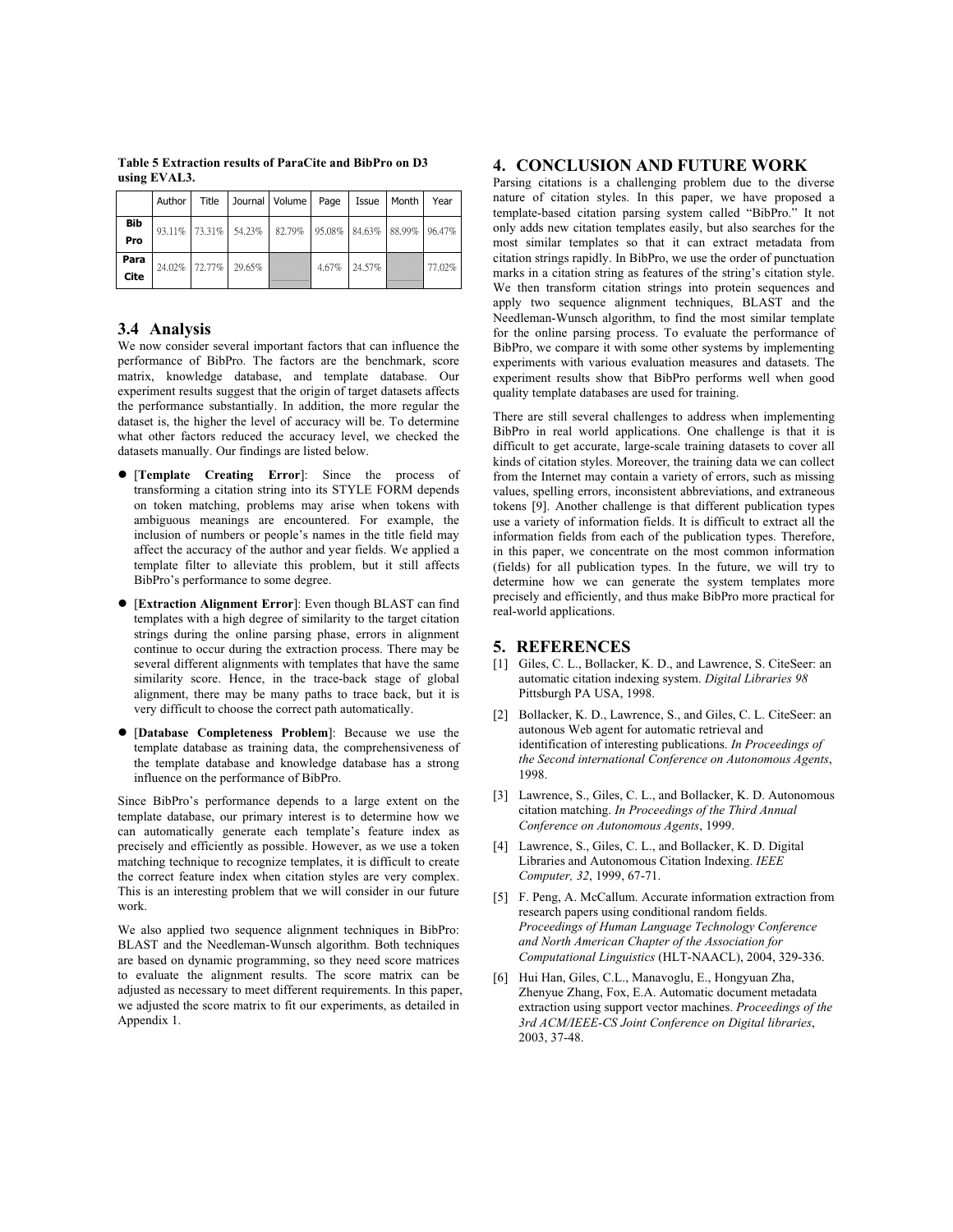|              | Author I | Title           |        | Journal   Volume   Page   Issue   Month   Year             |       |        |        |
|--------------|----------|-----------------|--------|------------------------------------------------------------|-------|--------|--------|
| Bib<br>Pro   |          |                 |        | $93.11\%$ 73.31% 54.23% 82.79% 95.08% 84.63% 88.99% 96.47% |       |        |        |
| Para<br>Cite |          | 24.02%   72.77% | 29.65% |                                                            | 4.67% | 24.57% | 77.02% |

**Table 5 Extraction results of ParaCite and BibPro on D3 using EVAL3.** 

## **3.4 Analysis**

We now consider several important factors that can influence the performance of BibPro. The factors are the benchmark, score matrix, knowledge database, and template database. Our experiment results suggest that the origin of target datasets affects the performance substantially. In addition, the more regular the dataset is, the higher the level of accuracy will be. To determine what other factors reduced the accuracy level, we checked the datasets manually. Our findings are listed below.

- **•** [Template Creating Error]: Since the process of transforming a citation string into its STYLE FORM depends on token matching, problems may arise when tokens with ambiguous meanings are encountered. For example, the inclusion of numbers or people's names in the title field may affect the accuracy of the author and year fields. We applied a template filter to alleviate this problem, but it still affects BibPro's performance to some degree.
- **[Extraction Alignment Error]:** Even though BLAST can find templates with a high degree of similarity to the target citation strings during the online parsing phase, errors in alignment continue to occur during the extraction process. There may be several different alignments with templates that have the same similarity score. Hence, in the trace-back stage of global alignment, there may be many paths to trace back, but it is very difficult to choose the correct path automatically.
- **•** [Database Completeness Problem]: Because we use the template database as training data, the comprehensiveness of the template database and knowledge database has a strong influence on the performance of BibPro.

Since BibPro's performance depends to a large extent on the template database, our primary interest is to determine how we can automatically generate each template's feature index as precisely and efficiently as possible. However, as we use a token matching technique to recognize templates, it is difficult to create the correct feature index when citation styles are very complex. This is an interesting problem that we will consider in our future work.

We also applied two sequence alignment techniques in BibPro: BLAST and the Needleman-Wunsch algorithm. Both techniques are based on dynamic programming, so they need score matrices to evaluate the alignment results. The score matrix can be adjusted as necessary to meet different requirements. In this paper, we adjusted the score matrix to fit our experiments, as detailed in Appendix 1.

# **4. CONCLUSION AND FUTURE WORK**

Parsing citations is a challenging problem due to the diverse nature of citation styles. In this paper, we have proposed a template-based citation parsing system called "BibPro." It not only adds new citation templates easily, but also searches for the most similar templates so that it can extract metadata from citation strings rapidly. In BibPro, we use the order of punctuation marks in a citation string as features of the string's citation style. We then transform citation strings into protein sequences and apply two sequence alignment techniques, BLAST and the Needleman-Wunsch algorithm, to find the most similar template for the online parsing process. To evaluate the performance of BibPro, we compare it with some other systems by implementing experiments with various evaluation measures and datasets. The experiment results show that BibPro performs well when good quality template databases are used for training.

There are still several challenges to address when implementing BibPro in real world applications. One challenge is that it is difficult to get accurate, large-scale training datasets to cover all kinds of citation styles. Moreover, the training data we can collect from the Internet may contain a variety of errors, such as missing values, spelling errors, inconsistent abbreviations, and extraneous tokens [9]. Another challenge is that different publication types use a variety of information fields. It is difficult to extract all the information fields from each of the publication types. Therefore, in this paper, we concentrate on the most common information (fields) for all publication types. In the future, we will try to determine how we can generate the system templates more precisely and efficiently, and thus make BibPro more practical for real-world applications.

#### **5. REFERENCES**

- [1] Giles, C. L., Bollacker, K. D., and Lawrence, S. CiteSeer: an automatic citation indexing system. *Digital Libraries 98* Pittsburgh PA USA, 1998.
- [2] Bollacker, K. D., Lawrence, S., and Giles, C. L. CiteSeer: an autonous Web agent for automatic retrieval and identification of interesting publications. *In Proceedings of the Second international Conference on Autonomous Agents*, 1998.
- [3] Lawrence, S., Giles, C. L., and Bollacker, K. D. Autonomous citation matching. *In Proceedings of the Third Annual Conference on Autonomous Agents*, 1999.
- [4] Lawrence, S., Giles, C. L., and Bollacker, K. D. Digital Libraries and Autonomous Citation Indexing. *IEEE Computer, 32*, 1999, 67-71.
- [5] F. Peng, A. McCallum. Accurate information extraction from research papers using conditional random fields. *Proceedings of Human Language Technology Conference and North American Chapter of the Association for Computational Linguistics* (HLT-NAACL), 2004, 329-336.
- [6] Hui Han, Giles, C.L., Manavoglu, E., Hongyuan Zha, Zhenyue Zhang, Fox, E.A. Automatic document metadata extraction using support vector machines. *Proceedings of the 3rd ACM/IEEE-CS Joint Conference on Digital libraries*, 2003, 37-48.